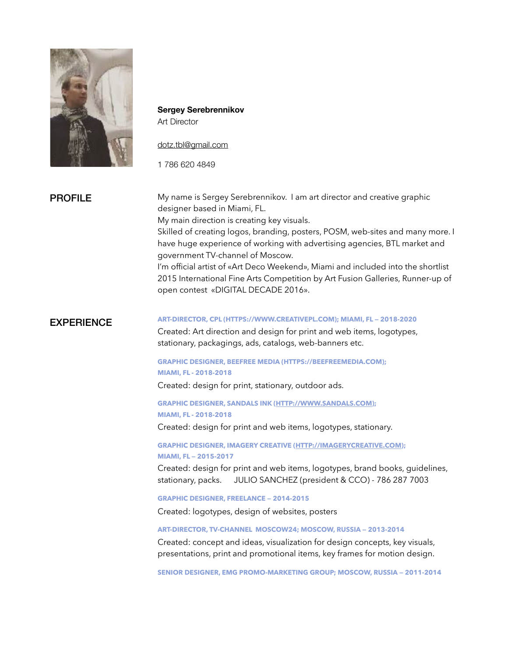

**Sergey Serebrennikov**  Art Director

#### [dotz.tbl@gmail.com](mailto:dotz.tbl@gmail.com)

1 786 620 4849

# PROFILE

My name is Sergey Serebrennikov. I am art director and creative graphic designer based in Miami, FL.

My main direction is creating key visuals.

Skilled of creating logos, branding, posters, POSM, web-sites and many more. I have huge experience of working with advertising agencies, BTL market and government TV-channel of Moscow.

I'm official artist of «Art Deco Weekend», Miami and included into the shortlist 2015 International Fine Arts Competition by Art Fusion Galleries, Runner-up of open contest «DIGITAL DECADE 2016».

# **EXPERIENCE**

#### **ART-DIRECTOR, CPL (HTTPS://WWW.CREATIVEPL.COM); MIAMI, FL — 2018-2020**

Created: Art direction and design for print and web items, logotypes, stationary, packagings, ads, catalogs, web-banners etc.

### **GRAPHIC DESIGNER, BEEFREE MEDIA (HTTPS://BEEFREEMEDIA.COM); MIAMI, FL - 2018-2018**

Created: design for print, stationary, outdoor ads.

**GRAPHIC DESIGNER, SANDALS INK ([HTTP://WWW.SANDALS.COM\)](http://www.sandals.com); MIAMI, FL - 2018-2018** 

Created: design for print and web items, logotypes, stationary.

**GRAPHIC DESIGNER, IMAGERY CREATIVE [\(HTTP://IMAGERYCREATIVE.COM\)](http://imagerycreative.com); MIAMI, FL — 2015-2017**

Created: design for print and web items, logotypes, brand books, guidelines, stationary, packs. JULIO SANCHEZ (president & CCO) - 786 287 7003

**GRAPHIC DESIGNER, FREELANCE — 2014-2015**

Created: logotypes, design of websites, posters

**ART-DIRECTOR, TV-CHANNEL MOSCOW24; MOSCOW, RUSSIA — 2013-2014**

Created: concept and ideas, visualization for design concepts, key visuals, presentations, print and promotional items, key frames for motion design.

**SENIOR DESIGNER, EMG PROMO-MARKETING GROUP; MOSCOW, RUSSIA — 2011-2014**